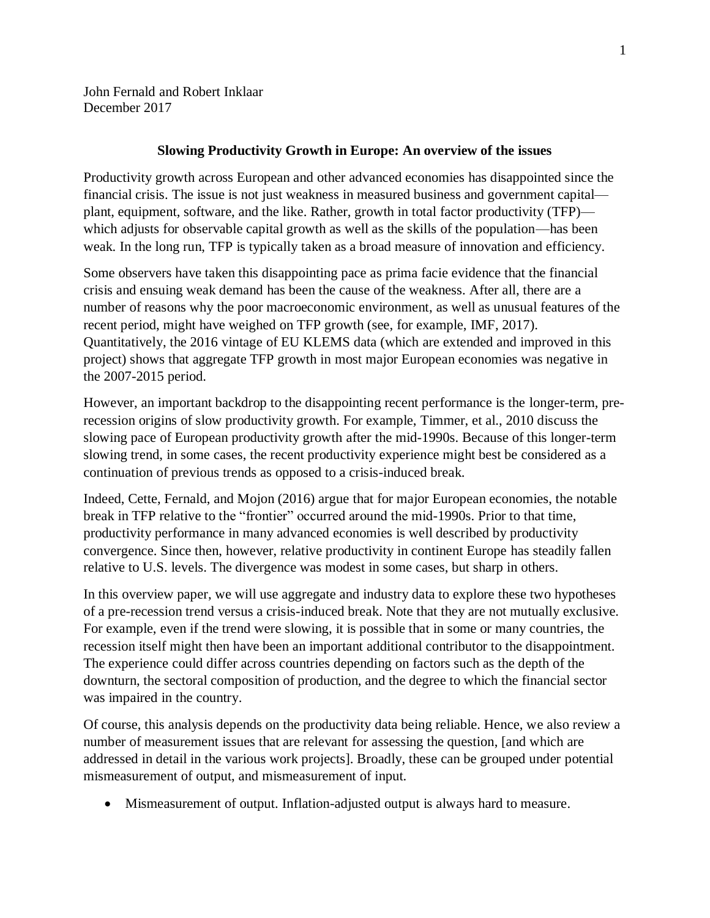John Fernald and Robert Inklaar December 2017

## **Slowing Productivity Growth in Europe: An overview of the issues**

Productivity growth across European and other advanced economies has disappointed since the financial crisis. The issue is not just weakness in measured business and government capital plant, equipment, software, and the like. Rather, growth in total factor productivity (TFP) which adjusts for observable capital growth as well as the skills of the population—has been weak. In the long run, TFP is typically taken as a broad measure of innovation and efficiency.

Some observers have taken this disappointing pace as prima facie evidence that the financial crisis and ensuing weak demand has been the cause of the weakness. After all, there are a number of reasons why the poor macroeconomic environment, as well as unusual features of the recent period, might have weighed on TFP growth (see, for example, IMF, 2017). Quantitatively, the 2016 vintage of EU KLEMS data (which are extended and improved in this project) shows that aggregate TFP growth in most major European economies was negative in the 2007-2015 period.

However, an important backdrop to the disappointing recent performance is the longer-term, prerecession origins of slow productivity growth. For example, Timmer, et al., 2010 discuss the slowing pace of European productivity growth after the mid-1990s. Because of this longer-term slowing trend, in some cases, the recent productivity experience might best be considered as a continuation of previous trends as opposed to a crisis-induced break.

Indeed, Cette, Fernald, and Mojon (2016) argue that for major European economies, the notable break in TFP relative to the "frontier" occurred around the mid-1990s. Prior to that time, productivity performance in many advanced economies is well described by productivity convergence. Since then, however, relative productivity in continent Europe has steadily fallen relative to U.S. levels. The divergence was modest in some cases, but sharp in others.

In this overview paper, we will use aggregate and industry data to explore these two hypotheses of a pre-recession trend versus a crisis-induced break. Note that they are not mutually exclusive. For example, even if the trend were slowing, it is possible that in some or many countries, the recession itself might then have been an important additional contributor to the disappointment. The experience could differ across countries depending on factors such as the depth of the downturn, the sectoral composition of production, and the degree to which the financial sector was impaired in the country.

Of course, this analysis depends on the productivity data being reliable. Hence, we also review a number of measurement issues that are relevant for assessing the question, [and which are addressed in detail in the various work projects]. Broadly, these can be grouped under potential mismeasurement of output, and mismeasurement of input.

• Mismeasurement of output. Inflation-adjusted output is always hard to measure.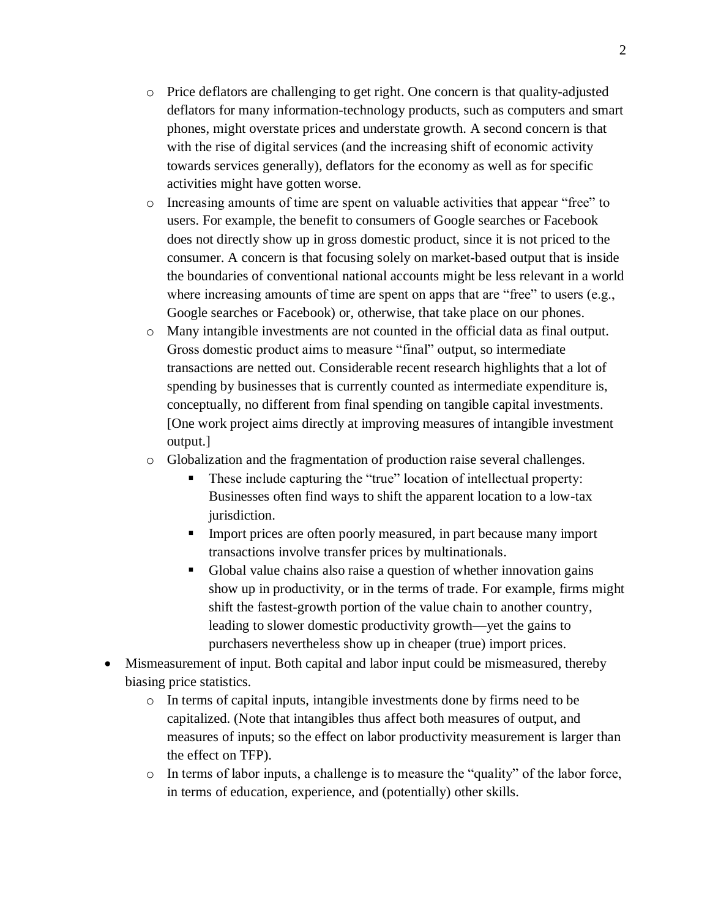- o Price deflators are challenging to get right. One concern is that quality-adjusted deflators for many information-technology products, such as computers and smart phones, might overstate prices and understate growth. A second concern is that with the rise of digital services (and the increasing shift of economic activity towards services generally), deflators for the economy as well as for specific activities might have gotten worse.
- o Increasing amounts of time are spent on valuable activities that appear "free" to users. For example, the benefit to consumers of Google searches or Facebook does not directly show up in gross domestic product, since it is not priced to the consumer. A concern is that focusing solely on market-based output that is inside the boundaries of conventional national accounts might be less relevant in a world where increasing amounts of time are spent on apps that are "free" to users (e.g., Google searches or Facebook) or, otherwise, that take place on our phones.
- o Many intangible investments are not counted in the official data as final output. Gross domestic product aims to measure "final" output, so intermediate transactions are netted out. Considerable recent research highlights that a lot of spending by businesses that is currently counted as intermediate expenditure is, conceptually, no different from final spending on tangible capital investments. [One work project aims directly at improving measures of intangible investment output.]
- o Globalization and the fragmentation of production raise several challenges.
	- **•** These include capturing the "true" location of intellectual property: Businesses often find ways to shift the apparent location to a low-tax jurisdiction.
	- **EXECUTE:** Import prices are often poorly measured, in part because many import transactions involve transfer prices by multinationals.
	- Global value chains also raise a question of whether innovation gains show up in productivity, or in the terms of trade. For example, firms might shift the fastest-growth portion of the value chain to another country, leading to slower domestic productivity growth—yet the gains to purchasers nevertheless show up in cheaper (true) import prices.
- Mismeasurement of input. Both capital and labor input could be mismeasured, thereby biasing price statistics.
	- o In terms of capital inputs, intangible investments done by firms need to be capitalized. (Note that intangibles thus affect both measures of output, and measures of inputs; so the effect on labor productivity measurement is larger than the effect on TFP).
	- $\circ$  In terms of labor inputs, a challenge is to measure the "quality" of the labor force, in terms of education, experience, and (potentially) other skills.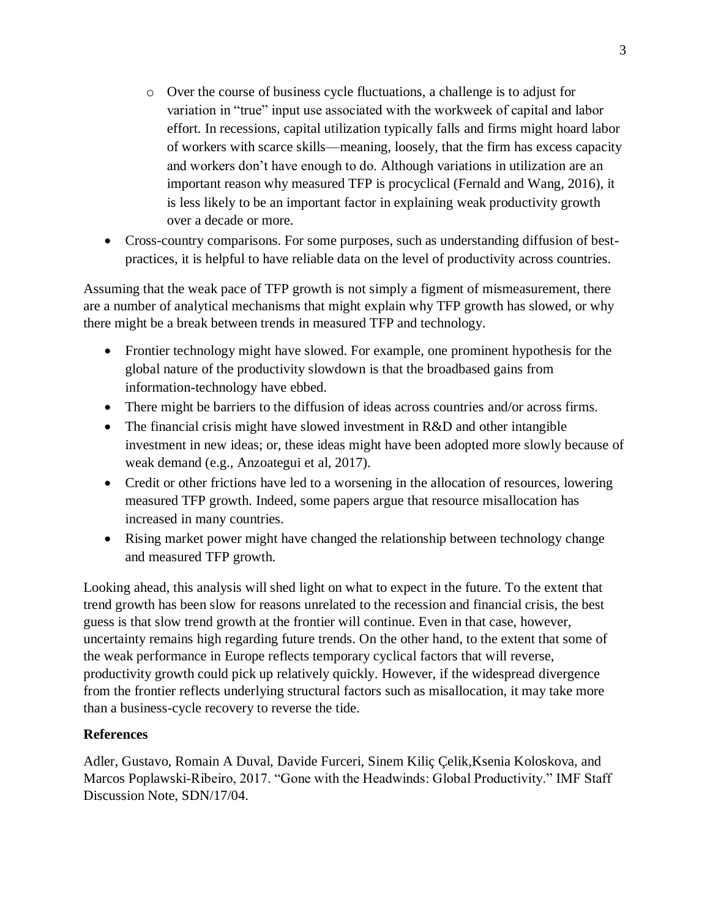- o Over the course of business cycle fluctuations, a challenge is to adjust for variation in "true" input use associated with the workweek of capital and labor effort. In recessions, capital utilization typically falls and firms might hoard labor of workers with scarce skills—meaning, loosely, that the firm has excess capacity and workers don't have enough to do. Although variations in utilization are an important reason why measured TFP is procyclical (Fernald and Wang, 2016), it is less likely to be an important factor in explaining weak productivity growth over a decade or more.
- Cross-country comparisons. For some purposes, such as understanding diffusion of bestpractices, it is helpful to have reliable data on the level of productivity across countries.

Assuming that the weak pace of TFP growth is not simply a figment of mismeasurement, there are a number of analytical mechanisms that might explain why TFP growth has slowed, or why there might be a break between trends in measured TFP and technology.

- Frontier technology might have slowed. For example, one prominent hypothesis for the global nature of the productivity slowdown is that the broadbased gains from information-technology have ebbed.
- There might be barriers to the diffusion of ideas across countries and/or across firms.
- The financial crisis might have slowed investment in R&D and other intangible investment in new ideas; or, these ideas might have been adopted more slowly because of weak demand (e.g., Anzoategui et al, 2017).
- Credit or other frictions have led to a worsening in the allocation of resources, lowering measured TFP growth. Indeed, some papers argue that resource misallocation has increased in many countries.
- Rising market power might have changed the relationship between technology change and measured TFP growth.

Looking ahead, this analysis will shed light on what to expect in the future. To the extent that trend growth has been slow for reasons unrelated to the recession and financial crisis, the best guess is that slow trend growth at the frontier will continue. Even in that case, however, uncertainty remains high regarding future trends. On the other hand, to the extent that some of the weak performance in Europe reflects temporary cyclical factors that will reverse, productivity growth could pick up relatively quickly. However, if the widespread divergence from the frontier reflects underlying structural factors such as misallocation, it may take more than a business-cycle recovery to reverse the tide.

## **References**

Adler, Gustavo, Romain A Duval, Davide Furceri, Sinem Kiliç Çelik,Ksenia Koloskova, and Marcos Poplawski-Ribeiro, 2017. "Gone with the Headwinds: Global Productivity." IMF Staff Discussion Note, SDN/17/04.